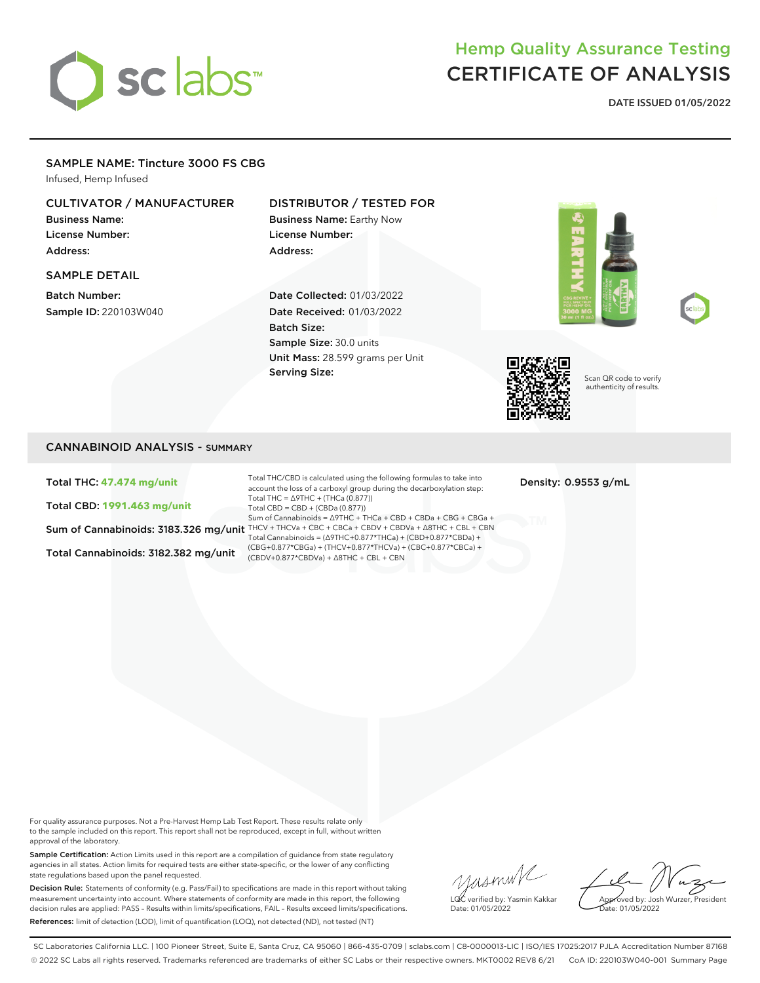# sclabs

## Hemp Quality Assurance Testing CERTIFICATE OF ANALYSIS

**DATE ISSUED 01/05/2022**

#### SAMPLE NAME: Tincture 3000 FS CBG

Infused, Hemp Infused

#### CULTIVATOR / MANUFACTURER

Business Name: License Number: Address:

#### SAMPLE DETAIL

Batch Number: Sample ID: 220103W040

#### DISTRIBUTOR / TESTED FOR

Business Name: Earthy Now License Number: Address:

Date Collected: 01/03/2022 Date Received: 01/03/2022 Batch Size: Sample Size: 30.0 units Unit Mass: 28.599 grams per Unit Serving Size:







Scan QR code to verify authenticity of results.

#### CANNABINOID ANALYSIS - SUMMARY

Total THC: **47.474 mg/unit**

Total CBD: **1991.463 mg/unit**

Total Cannabinoids: 3182.382 mg/unit

Sum of Cannabinoids: 3183.326 mg/unit THCV + THCVa + CBC + CBCa + CBDV + CBDVa + ∆8THC + CBL + CBN Total THC/CBD is calculated using the following formulas to take into account the loss of a carboxyl group during the decarboxylation step: Total THC = ∆9THC + (THCa (0.877)) Total CBD = CBD + (CBDa (0.877)) Sum of Cannabinoids = ∆9THC + THCa + CBD + CBDa + CBG + CBGa + Total Cannabinoids = (∆9THC+0.877\*THCa) + (CBD+0.877\*CBDa) + (CBG+0.877\*CBGa) + (THCV+0.877\*THCVa) + (CBC+0.877\*CBCa) + (CBDV+0.877\*CBDVa) + ∆8THC + CBL + CBN

Density: 0.9553 g/mL

For quality assurance purposes. Not a Pre-Harvest Hemp Lab Test Report. These results relate only to the sample included on this report. This report shall not be reproduced, except in full, without written approval of the laboratory.

Sample Certification: Action Limits used in this report are a compilation of guidance from state regulatory agencies in all states. Action limits for required tests are either state-specific, or the lower of any conflicting state regulations based upon the panel requested.

Decision Rule: Statements of conformity (e.g. Pass/Fail) to specifications are made in this report without taking measurement uncertainty into account. Where statements of conformity are made in this report, the following decision rules are applied: PASS – Results within limits/specifications, FAIL – Results exceed limits/specifications. References: limit of detection (LOD), limit of quantification (LOQ), not detected (ND), not tested (NT)

yasmin/ LQC verified by: Yasmin Kakkar

Approved by: Josh Wurzer, President ate: 01/05/2022

Date: 01/05/2022

SC Laboratories California LLC. | 100 Pioneer Street, Suite E, Santa Cruz, CA 95060 | 866-435-0709 | sclabs.com | C8-0000013-LIC | ISO/IES 17025:2017 PJLA Accreditation Number 87168 © 2022 SC Labs all rights reserved. Trademarks referenced are trademarks of either SC Labs or their respective owners. MKT0002 REV8 6/21 CoA ID: 220103W040-001 Summary Page